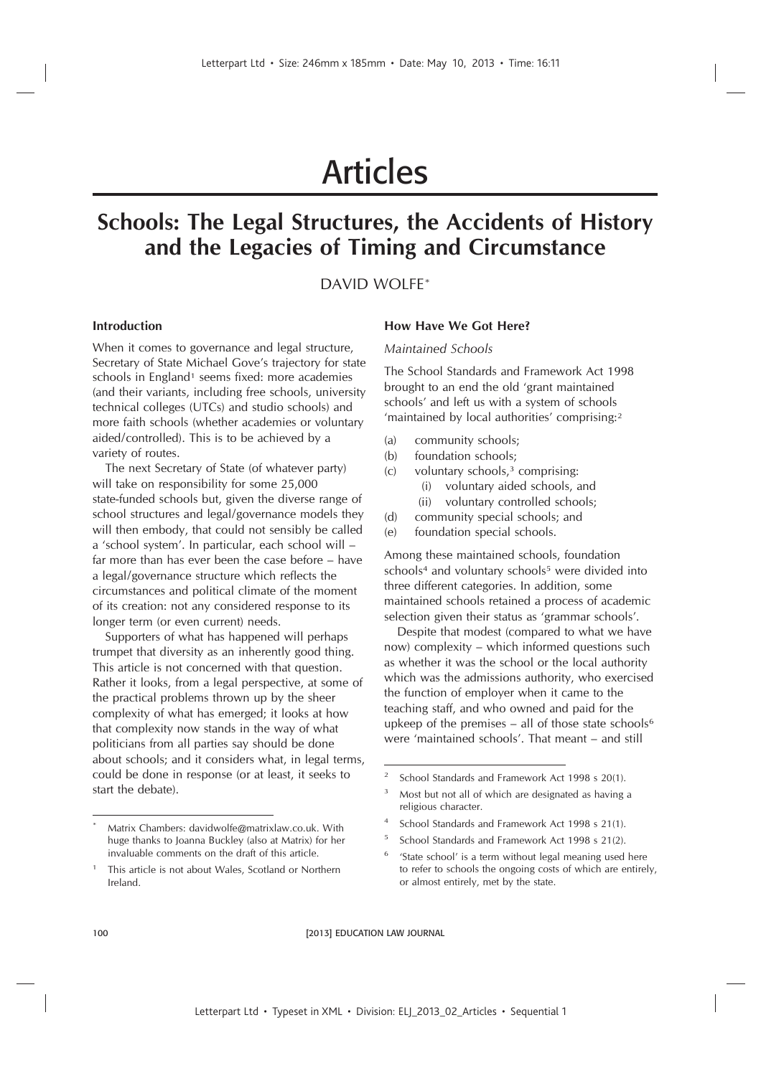# Articles

# **Schools: The Legal Structures, the Accidents of History and the Legacies of Timing and Circumstance**

# DAVID WOLFE\*

# **Introduction**

When it comes to governance and legal structure, Secretary of State Michael Gove's trajectory for state schools in England<sup>1</sup> seems fixed: more academies (and their variants, including free schools, university technical colleges (UTCs) and studio schools) and more faith schools (whether academies or voluntary aided/controlled). This is to be achieved by a variety of routes.

The next Secretary of State (of whatever party) will take on responsibility for some 25,000 state-funded schools but, given the diverse range of school structures and legal/governance models they will then embody, that could not sensibly be called a 'school system'. In particular, each school will – far more than has ever been the case before – have a legal/governance structure which reflects the circumstances and political climate of the moment of its creation: not any considered response to its longer term (or even current) needs.

Supporters of what has happened will perhaps trumpet that diversity as an inherently good thing. This article is not concerned with that question. Rather it looks, from a legal perspective, at some of the practical problems thrown up by the sheer complexity of what has emerged; it looks at how that complexity now stands in the way of what politicians from all parties say should be done about schools; and it considers what, in legal terms, could be done in response (or at least, it seeks to start the debate).

#### **How Have We Got Here?**

#### *Maintained Schools*

The School Standards and Framework Act 1998 brought to an end the old 'grant maintained schools' and left us with a system of schools 'maintained by local authorities' comprising:<sup>2</sup>

- (a) community schools;
- (b) foundation schools;
- $(c)$  voluntary schools,<sup>3</sup> comprising: (i) voluntary aided schools, and
	- (ii) voluntary controlled schools;
- (d) community special schools; and
- (e) foundation special schools.

Among these maintained schools, foundation schools<sup>4</sup> and voluntary schools<sup>5</sup> were divided into three different categories. In addition, some maintained schools retained a process of academic selection given their status as 'grammar schools'.

Despite that modest (compared to what we have now) complexity – which informed questions such as whether it was the school or the local authority which was the admissions authority, who exercised the function of employer when it came to the teaching staff, and who owned and paid for the upkeep of the premises – all of those state schools<sup>6</sup> were 'maintained schools'. That meant – and still

- 4 School Standards and Framework Act 1998 s 21(1).
- 5 School Standards and Framework Act 1998 s 21(2).
- 6 'State school' is a term without legal meaning used here to refer to schools the ongoing costs of which are entirely, or almost entirely, met by the state.

100 **EDUCATION LAW JOURNAL** 

Matrix Chambers: davidwolfe@matrixlaw.co.uk. With huge thanks to Joanna Buckley (also at Matrix) for her invaluable comments on the draft of this article.

<sup>1</sup> This article is not about Wales, Scotland or Northern Ireland.

<sup>2</sup> School Standards and Framework Act 1998 s 20(1).

Most but not all of which are designated as having a religious character.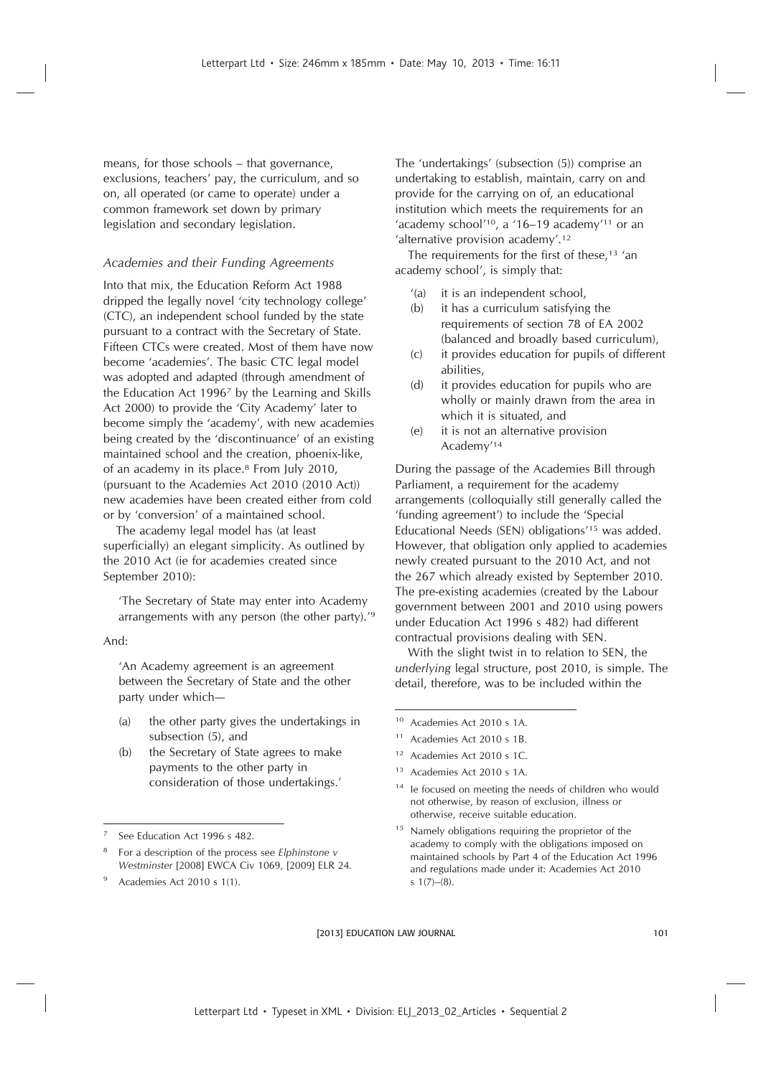means, for those schools – that governance, exclusions, teachers' pay, the curriculum, and so on, all operated (or came to operate) under a common framework set down by primary legislation and secondary legislation.

# *Academies and their Funding Agreements*

Into that mix, the Education Reform Act 1988 dripped the legally novel 'city technology college' (CTC), an independent school funded by the state pursuant to a contract with the Secretary of State. Fifteen CTCs were created. Most of them have now become 'academies'. The basic CTC legal model was adopted and adapted (through amendment of the Education Act 1996<sup>7</sup> by the Learning and Skills Act 2000) to provide the 'City Academy' later to become simply the 'academy', with new academies being created by the 'discontinuance' of an existing maintained school and the creation, phoenix-like, of an academy in its place.<sup>8</sup> From July 2010, (pursuant to the Academies Act 2010 (2010 Act)) new academies have been created either from cold or by 'conversion' of a maintained school.

The academy legal model has (at least superficially) an elegant simplicity. As outlined by the 2010 Act (ie for academies created since September 2010):

'The Secretary of State may enter into Academy arrangements with any person (the other party).'<sup>9</sup>

And:

'An Academy agreement is an agreement between the Secretary of State and the other party under which—

- (a) the other party gives the undertakings in subsection (5), and
- (b) the Secretary of State agrees to make payments to the other party in consideration of those undertakings.'

- 8 For a description of the process see *Elphinstone v Westminster* [2008] EWCA Civ 1069, [2009] ELR 24.
- Academies Act 2010 s 1(1).

The 'undertakings' (subsection (5)) comprise an undertaking to establish, maintain, carry on and provide for the carrying on of, an educational institution which meets the requirements for an 'academy school'<sup>10</sup>, a '16–19 academy'<sup>11</sup> or an 'alternative provision academy'.<sup>12</sup>

The requirements for the first of these.<sup>13</sup> 'an academy school', is simply that:

- '(a) it is an independent school,
- (b) it has a curriculum satisfying the requirements of section 78 of EA 2002 (balanced and broadly based curriculum),
- (c) it provides education for pupils of different abilities,
- (d) it provides education for pupils who are wholly or mainly drawn from the area in which it is situated, and
- (e) it is not an alternative provision Academy'<sup>14</sup>

During the passage of the Academies Bill through Parliament, a requirement for the academy arrangements (colloquially still generally called the 'funding agreement') to include the 'Special Educational Needs (SEN) obligations'<sup>15</sup> was added. However, that obligation only applied to academies newly created pursuant to the 2010 Act, and not the 267 which already existed by September 2010. The pre-existing academies (created by the Labour government between 2001 and 2010 using powers under Education Act 1996 s 482) had different contractual provisions dealing with SEN.

With the slight twist in to relation to SEN, the *underlying* legal structure, post 2010, is simple. The detail, therefore, was to be included within the

- <sup>10</sup> Academies Act 2010 s 1A.
- <sup>11</sup> Academies Act 2010 s 1B.
- <sup>12</sup> Academies Act 2010 s 1C.
- <sup>13</sup> Academies Act 2010 s 1A.
- <sup>14</sup> le focused on meeting the needs of children who would not otherwise, by reason of exclusion, illness or otherwise, receive suitable education.
- <sup>15</sup> Namely obligations requiring the proprietor of the academy to comply with the obligations imposed on maintained schools by Part 4 of the Education Act 1996 and regulations made under it: Academies Act 2010 s  $1(7)–(8)$ .

<sup>7</sup> See Education Act 1996 s 482.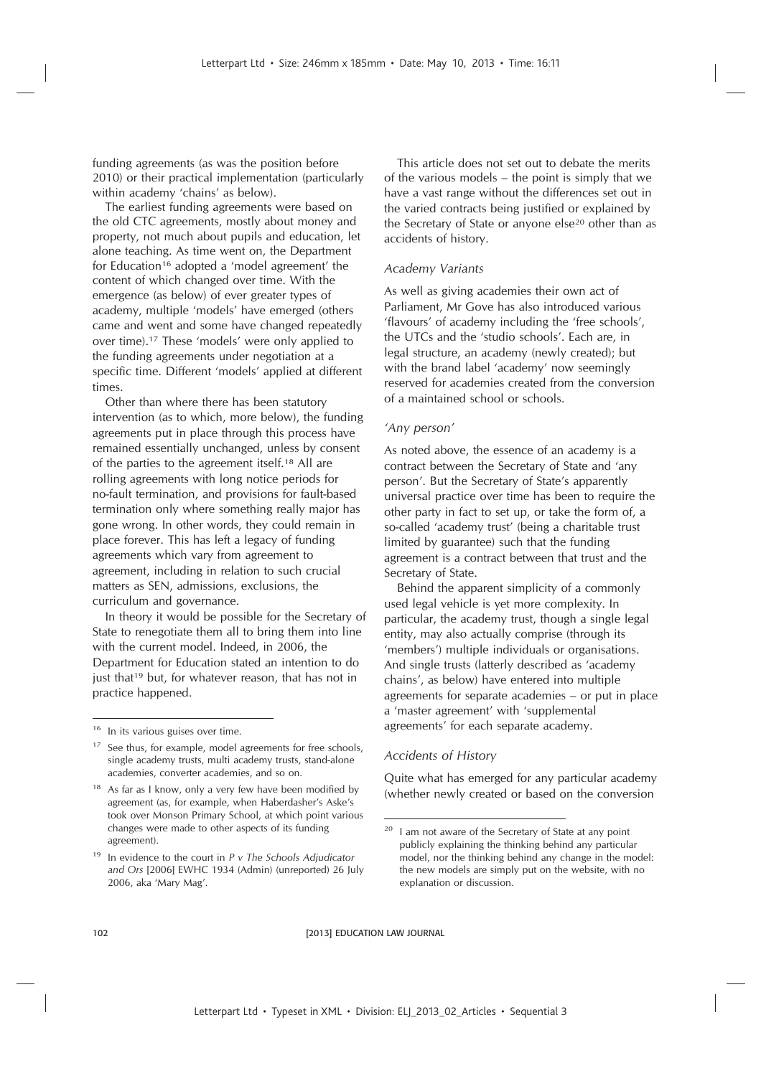funding agreements (as was the position before 2010) or their practical implementation (particularly within academy 'chains' as below).

The earliest funding agreements were based on the old CTC agreements, mostly about money and property, not much about pupils and education, let alone teaching. As time went on, the Department for Education<sup>16</sup> adopted a 'model agreement' the content of which changed over time. With the emergence (as below) of ever greater types of academy, multiple 'models' have emerged (others came and went and some have changed repeatedly over time).<sup>17</sup> These 'models' were only applied to the funding agreements under negotiation at a specific time. Different 'models' applied at different times.

Other than where there has been statutory intervention (as to which, more below), the funding agreements put in place through this process have remained essentially unchanged, unless by consent of the parties to the agreement itself.<sup>18</sup> All are rolling agreements with long notice periods for no-fault termination, and provisions for fault-based termination only where something really major has gone wrong. In other words, they could remain in place forever. This has left a legacy of funding agreements which vary from agreement to agreement, including in relation to such crucial matters as SEN, admissions, exclusions, the curriculum and governance.

In theory it would be possible for the Secretary of State to renegotiate them all to bring them into line with the current model. Indeed, in 2006, the Department for Education stated an intention to do just that<sup>19</sup> but, for whatever reason, that has not in practice happened.

This article does not set out to debate the merits of the various models – the point is simply that we have a vast range without the differences set out in the varied contracts being justified or explained by the Secretary of State or anyone else<sup>20</sup> other than as accidents of history.

#### *Academy Variants*

As well as giving academies their own act of Parliament, Mr Gove has also introduced various 'flavours' of academy including the 'free schools', the UTCs and the 'studio schools'. Each are, in legal structure, an academy (newly created); but with the brand label 'academy' now seemingly reserved for academies created from the conversion of a maintained school or schools.

# *'Any person'*

As noted above, the essence of an academy is a contract between the Secretary of State and 'any person'. But the Secretary of State's apparently universal practice over time has been to require the other party in fact to set up, or take the form of, a so-called 'academy trust' (being a charitable trust limited by guarantee) such that the funding agreement is a contract between that trust and the Secretary of State.

Behind the apparent simplicity of a commonly used legal vehicle is yet more complexity. In particular, the academy trust, though a single legal entity, may also actually comprise (through its 'members') multiple individuals or organisations. And single trusts (latterly described as 'academy chains', as below) have entered into multiple agreements for separate academies – or put in place a 'master agreement' with 'supplemental agreements' for each separate academy.

#### *Accidents of History*

Quite what has emerged for any particular academy (whether newly created or based on the conversion

<sup>&</sup>lt;sup>16</sup> In its various guises over time.

<sup>&</sup>lt;sup>17</sup> See thus, for example, model agreements for free schools, single academy trusts, multi academy trusts, stand-alone academies, converter academies, and so on.

 $18$  As far as I know, only a very few have been modified by agreement (as, for example, when Haberdasher's Aske's took over Monson Primary School, at which point various changes were made to other aspects of its funding agreement).

<sup>19</sup> In evidence to the court in *P v The Schools Adjudicator and Ors* [2006] EWHC 1934 (Admin) (unreported) 26 July 2006, aka 'Mary Mag'.

 $20$  I am not aware of the Secretary of State at any point publicly explaining the thinking behind any particular model, nor the thinking behind any change in the model: the new models are simply put on the website, with no explanation or discussion.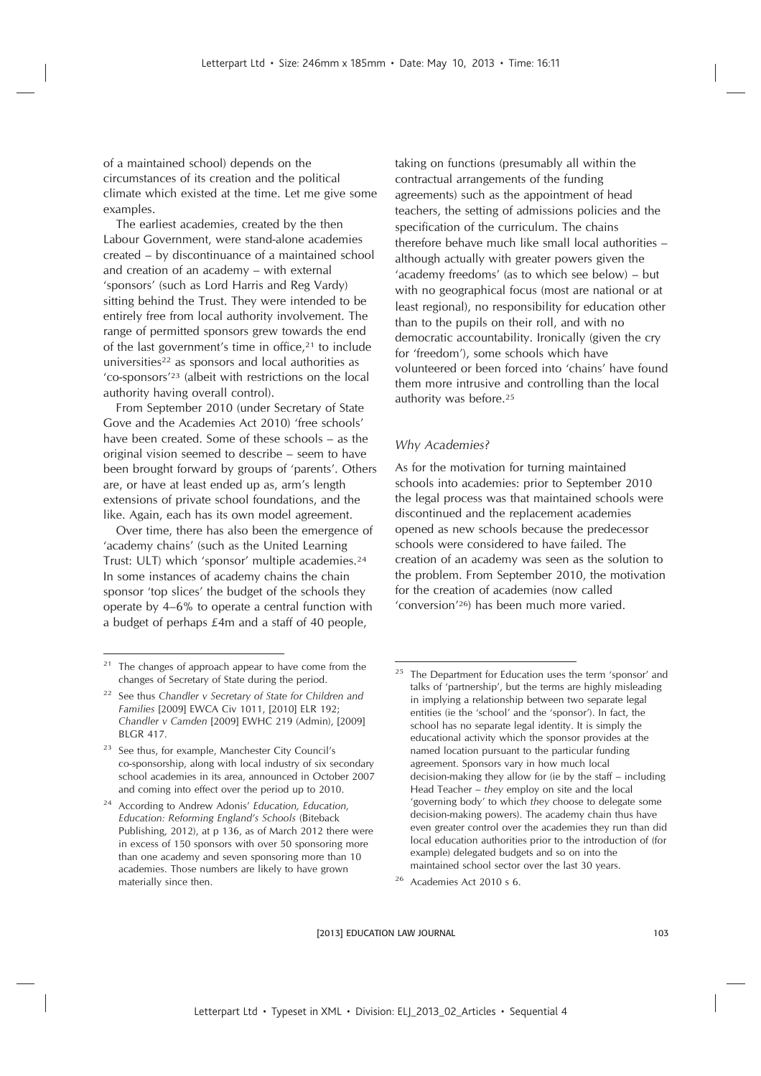of a maintained school) depends on the circumstances of its creation and the political climate which existed at the time. Let me give some examples.

The earliest academies, created by the then Labour Government, were stand-alone academies created – by discontinuance of a maintained school and creation of an academy – with external 'sponsors' (such as Lord Harris and Reg Vardy) sitting behind the Trust. They were intended to be entirely free from local authority involvement. The range of permitted sponsors grew towards the end of the last government's time in office,<sup>21</sup> to include universities<sup>22</sup> as sponsors and local authorities as 'co-sponsors'<sup>23</sup> (albeit with restrictions on the local authority having overall control).

From September 2010 (under Secretary of State Gove and the Academies Act 2010) 'free schools' have been created. Some of these schools – as the original vision seemed to describe – seem to have been brought forward by groups of 'parents'. Others are, or have at least ended up as, arm's length extensions of private school foundations, and the like. Again, each has its own model agreement.

Over time, there has also been the emergence of 'academy chains' (such as the United Learning Trust: ULT) which 'sponsor' multiple academies.<sup>24</sup> In some instances of academy chains the chain sponsor 'top slices' the budget of the schools they operate by 4–6% to operate a central function with a budget of perhaps £4m and a staff of 40 people,

taking on functions (presumably all within the contractual arrangements of the funding agreements) such as the appointment of head teachers, the setting of admissions policies and the specification of the curriculum. The chains therefore behave much like small local authorities – although actually with greater powers given the 'academy freedoms' (as to which see below) – but with no geographical focus (most are national or at least regional), no responsibility for education other than to the pupils on their roll, and with no democratic accountability. Ironically (given the cry for 'freedom'), some schools which have volunteered or been forced into 'chains' have found them more intrusive and controlling than the local authority was before.<sup>25</sup>

# *Why Academies?*

As for the motivation for turning maintained schools into academies: prior to September 2010 the legal process was that maintained schools were discontinued and the replacement academies opened as new schools because the predecessor schools were considered to have failed. The creation of an academy was seen as the solution to the problem. From September 2010, the motivation for the creation of academies (now called 'conversion'<sup>26</sup>) has been much more varied.

<sup>&</sup>lt;sup>21</sup> The changes of approach appear to have come from the changes of Secretary of State during the period.

<sup>22</sup> See thus *Chandler v Secretary of State for Children and Families* [2009] EWCA Civ 1011, [2010] ELR 192; *Chandler v Camden* [2009] EWHC 219 (Admin), [2009] BLGR 417.

<sup>&</sup>lt;sup>23</sup> See thus, for example, Manchester City Council's co-sponsorship, along with local industry of six secondary school academies in its area, announced in October 2007 and coming into effect over the period up to 2010.

<sup>24</sup> According to Andrew Adonis' *Education, Education, Education: Reforming England's Schools* (Biteback Publishing, 2012), at p 136, as of March 2012 there were in excess of 150 sponsors with over 50 sponsoring more than one academy and seven sponsoring more than 10 academies. Those numbers are likely to have grown materially since then.

<sup>&</sup>lt;sup>25</sup> The Department for Education uses the term 'sponsor' and talks of 'partnership', but the terms are highly misleading in implying a relationship between two separate legal entities (ie the 'school' and the 'sponsor'). In fact, the school has no separate legal identity. It is simply the educational activity which the sponsor provides at the named location pursuant to the particular funding agreement. Sponsors vary in how much local decision-making they allow for (ie by the staff – including Head Teacher – *they* employ on site and the local 'governing body' to which *they* choose to delegate some decision-making powers). The academy chain thus have even greater control over the academies they run than did local education authorities prior to the introduction of (for example) delegated budgets and so on into the maintained school sector over the last 30 years.

<sup>26</sup> Academies Act 2010 s 6.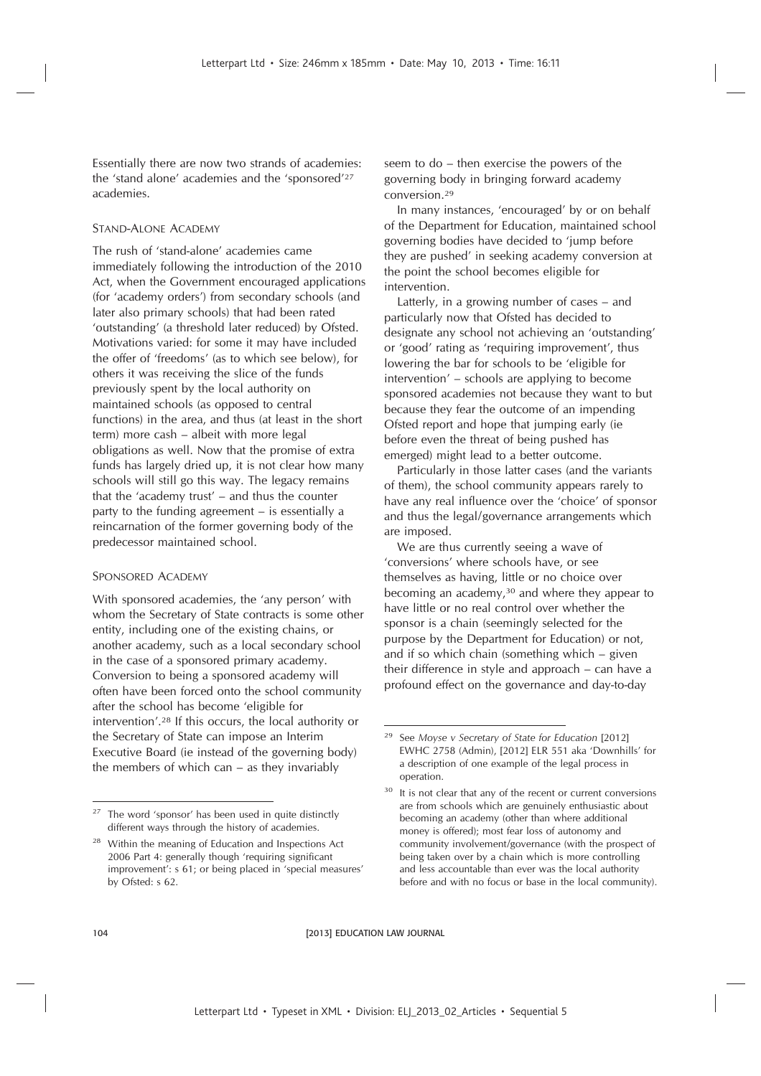Essentially there are now two strands of academies: the 'stand alone' academies and the 'sponsored'<sup>27</sup> academies.

# STAND-ALONE ACADEMY

The rush of 'stand-alone' academies came immediately following the introduction of the 2010 Act, when the Government encouraged applications (for 'academy orders') from secondary schools (and later also primary schools) that had been rated 'outstanding' (a threshold later reduced) by Ofsted. Motivations varied: for some it may have included the offer of 'freedoms' (as to which see below), for others it was receiving the slice of the funds previously spent by the local authority on maintained schools (as opposed to central functions) in the area, and thus (at least in the short term) more cash – albeit with more legal obligations as well. Now that the promise of extra funds has largely dried up, it is not clear how many schools will still go this way. The legacy remains that the 'academy trust' – and thus the counter party to the funding agreement – is essentially a reincarnation of the former governing body of the predecessor maintained school.

#### SPONSORED ACADEMY

With sponsored academies, the 'any person' with whom the Secretary of State contracts is some other entity, including one of the existing chains, or another academy, such as a local secondary school in the case of a sponsored primary academy. Conversion to being a sponsored academy will often have been forced onto the school community after the school has become 'eligible for intervention'.<sup>28</sup> If this occurs, the local authority or the Secretary of State can impose an Interim Executive Board (ie instead of the governing body) the members of which can – as they invariably

seem to do – then exercise the powers of the governing body in bringing forward academy conversion.<sup>29</sup>

In many instances, 'encouraged' by or on behalf of the Department for Education, maintained school governing bodies have decided to 'jump before they are pushed' in seeking academy conversion at the point the school becomes eligible for intervention.

Latterly, in a growing number of cases – and particularly now that Ofsted has decided to designate any school not achieving an 'outstanding' or 'good' rating as 'requiring improvement', thus lowering the bar for schools to be 'eligible for intervention' – schools are applying to become sponsored academies not because they want to but because they fear the outcome of an impending Ofsted report and hope that jumping early (ie before even the threat of being pushed has emerged) might lead to a better outcome.

Particularly in those latter cases (and the variants of them), the school community appears rarely to have any real influence over the 'choice' of sponsor and thus the legal/governance arrangements which are imposed.

We are thus currently seeing a wave of 'conversions' where schools have, or see themselves as having, little or no choice over becoming an academy,<sup>30</sup> and where they appear to have little or no real control over whether the sponsor is a chain (seemingly selected for the purpose by the Department for Education) or not, and if so which chain (something which – given their difference in style and approach – can have a profound effect on the governance and day-to-day

 $27$  The word 'sponsor' has been used in quite distinctly different ways through the history of academies.

Within the meaning of Education and Inspections Act 2006 Part 4: generally though 'requiring significant improvement': s 61; or being placed in 'special measures' by Ofsted: s 62.

<sup>29</sup> See *Moyse v Secretary of State for Education* [2012] EWHC 2758 (Admin), [2012] ELR 551 aka 'Downhills' for a description of one example of the legal process in operation.

<sup>&</sup>lt;sup>30</sup> It is not clear that any of the recent or current conversions are from schools which are genuinely enthusiastic about becoming an academy (other than where additional money is offered); most fear loss of autonomy and community involvement/governance (with the prospect of being taken over by a chain which is more controlling and less accountable than ever was the local authority before and with no focus or base in the local community).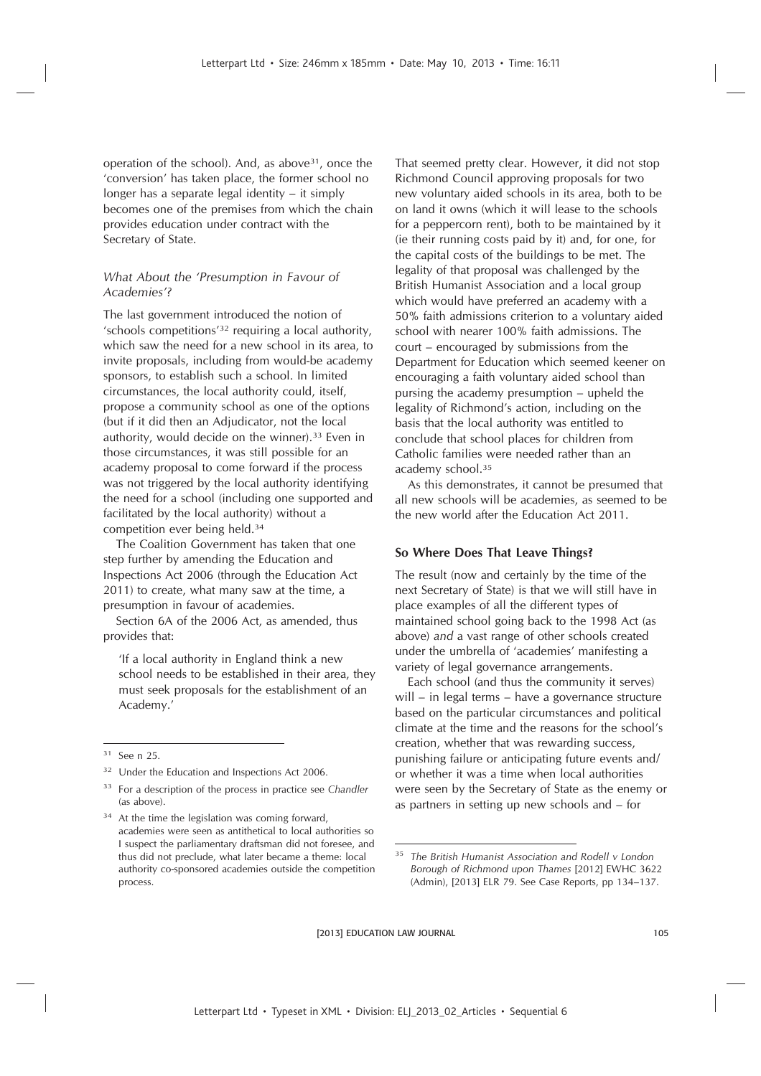operation of the school). And, as above<sup>31</sup>, once the 'conversion' has taken place, the former school no longer has a separate legal identity – it simply becomes one of the premises from which the chain provides education under contract with the Secretary of State.

# *What About the 'Presumption in Favour of Academies'?*

The last government introduced the notion of 'schools competitions'<sup>32</sup> requiring a local authority, which saw the need for a new school in its area, to invite proposals, including from would-be academy sponsors, to establish such a school. In limited circumstances, the local authority could, itself, propose a community school as one of the options (but if it did then an Adjudicator, not the local authority, would decide on the winner).<sup>33</sup> Even in those circumstances, it was still possible for an academy proposal to come forward if the process was not triggered by the local authority identifying the need for a school (including one supported and facilitated by the local authority) without a competition ever being held.<sup>34</sup>

The Coalition Government has taken that one step further by amending the Education and Inspections Act 2006 (through the Education Act 2011) to create, what many saw at the time, a presumption in favour of academies.

Section 6A of the 2006 Act, as amended, thus provides that:

'If a local authority in England think a new school needs to be established in their area, they must seek proposals for the establishment of an Academy.'

That seemed pretty clear. However, it did not stop Richmond Council approving proposals for two new voluntary aided schools in its area, both to be on land it owns (which it will lease to the schools for a peppercorn rent), both to be maintained by it (ie their running costs paid by it) and, for one, for the capital costs of the buildings to be met. The legality of that proposal was challenged by the British Humanist Association and a local group which would have preferred an academy with a 50% faith admissions criterion to a voluntary aided school with nearer 100% faith admissions. The court – encouraged by submissions from the Department for Education which seemed keener on encouraging a faith voluntary aided school than pursing the academy presumption – upheld the legality of Richmond's action, including on the basis that the local authority was entitled to conclude that school places for children from Catholic families were needed rather than an academy school.<sup>35</sup>

As this demonstrates, it cannot be presumed that all new schools will be academies, as seemed to be the new world after the Education Act 2011.

# **So Where Does That Leave Things?**

The result (now and certainly by the time of the next Secretary of State) is that we will still have in place examples of all the different types of maintained school going back to the 1998 Act (as above) *and* a vast range of other schools created under the umbrella of 'academies' manifesting a variety of legal governance arrangements.

Each school (and thus the community it serves) will – in legal terms – have a governance structure based on the particular circumstances and political climate at the time and the reasons for the school's creation, whether that was rewarding success, punishing failure or anticipating future events and/ or whether it was a time when local authorities were seen by the Secretary of State as the enemy or as partners in setting up new schools and – for

 $31$  See n 25.

<sup>&</sup>lt;sup>32</sup> Under the Education and Inspections Act 2006.

<sup>33</sup> For a description of the process in practice see *Chandler* (as above).

<sup>&</sup>lt;sup>34</sup> At the time the legislation was coming forward, academies were seen as antithetical to local authorities so I suspect the parliamentary draftsman did not foresee, and thus did not preclude, what later became a theme: local authority co-sponsored academies outside the competition process.

<sup>35</sup> *The British Humanist Association and Rodell v London Borough of Richmond upon Thames* [2012] EWHC 3622 (Admin), [2013] ELR 79. See Case Reports, pp 134–137.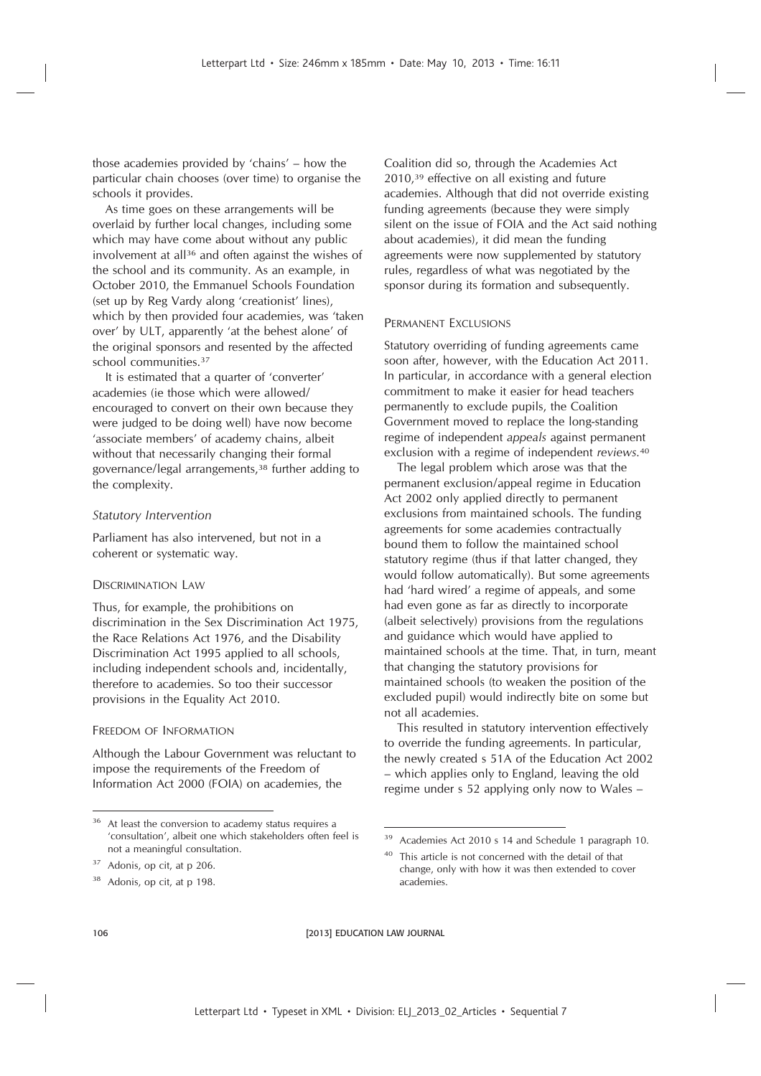those academies provided by 'chains' – how the particular chain chooses (over time) to organise the schools it provides.

As time goes on these arrangements will be overlaid by further local changes, including some which may have come about without any public involvement at all<sup>36</sup> and often against the wishes of the school and its community. As an example, in October 2010, the Emmanuel Schools Foundation (set up by Reg Vardy along 'creationist' lines), which by then provided four academies, was 'taken over' by ULT, apparently 'at the behest alone' of the original sponsors and resented by the affected school communities.<sup>37</sup>

It is estimated that a quarter of 'converter' academies (ie those which were allowed/ encouraged to convert on their own because they were judged to be doing well) have now become 'associate members' of academy chains, albeit without that necessarily changing their formal governance/legal arrangements,<sup>38</sup> further adding to the complexity.

#### *Statutory Intervention*

Parliament has also intervened, but not in a coherent or systematic way.

#### DISCRIMINATION LAW

Thus, for example, the prohibitions on discrimination in the Sex Discrimination Act 1975, the Race Relations Act 1976, and the Disability Discrimination Act 1995 applied to all schools, including independent schools and, incidentally, therefore to academies. So too their successor provisions in the Equality Act 2010.

#### FREEDOM OF INFORMATION

Although the Labour Government was reluctant to impose the requirements of the Freedom of Information Act 2000 (FOIA) on academies, the

Coalition did so, through the Academies Act 2010,<sup>39</sup> effective on all existing and future academies. Although that did not override existing funding agreements (because they were simply silent on the issue of FOIA and the Act said nothing about academies), it did mean the funding agreements were now supplemented by statutory rules, regardless of what was negotiated by the sponsor during its formation and subsequently.

#### PERMANENT EXCLUSIONS

Statutory overriding of funding agreements came soon after, however, with the Education Act 2011. In particular, in accordance with a general election commitment to make it easier for head teachers permanently to exclude pupils, the Coalition Government moved to replace the long-standing regime of independent *appeals* against permanent exclusion with a regime of independent *reviews.*<sup>40</sup>

The legal problem which arose was that the permanent exclusion/appeal regime in Education Act 2002 only applied directly to permanent exclusions from maintained schools. The funding agreements for some academies contractually bound them to follow the maintained school statutory regime (thus if that latter changed, they would follow automatically). But some agreements had 'hard wired' a regime of appeals, and some had even gone as far as directly to incorporate (albeit selectively) provisions from the regulations and guidance which would have applied to maintained schools at the time. That, in turn, meant that changing the statutory provisions for maintained schools (to weaken the position of the excluded pupil) would indirectly bite on some but not all academies.

This resulted in statutory intervention effectively to override the funding agreements. In particular, the newly created s 51A of the Education Act 2002 – which applies only to England, leaving the old regime under s 52 applying only now to Wales –

106 **EDUCATION LAW JOURNAL** 

<sup>&</sup>lt;sup>36</sup> At least the conversion to academy status requires a 'consultation', albeit one which stakeholders often feel is not a meaningful consultation.

<sup>37</sup> Adonis, op cit, at p 206.

<sup>38</sup> Adonis, op cit, at p 198.

<sup>39</sup> Academies Act 2010 s 14 and Schedule 1 paragraph 10.

<sup>40</sup> This article is not concerned with the detail of that change, only with how it was then extended to cover academies.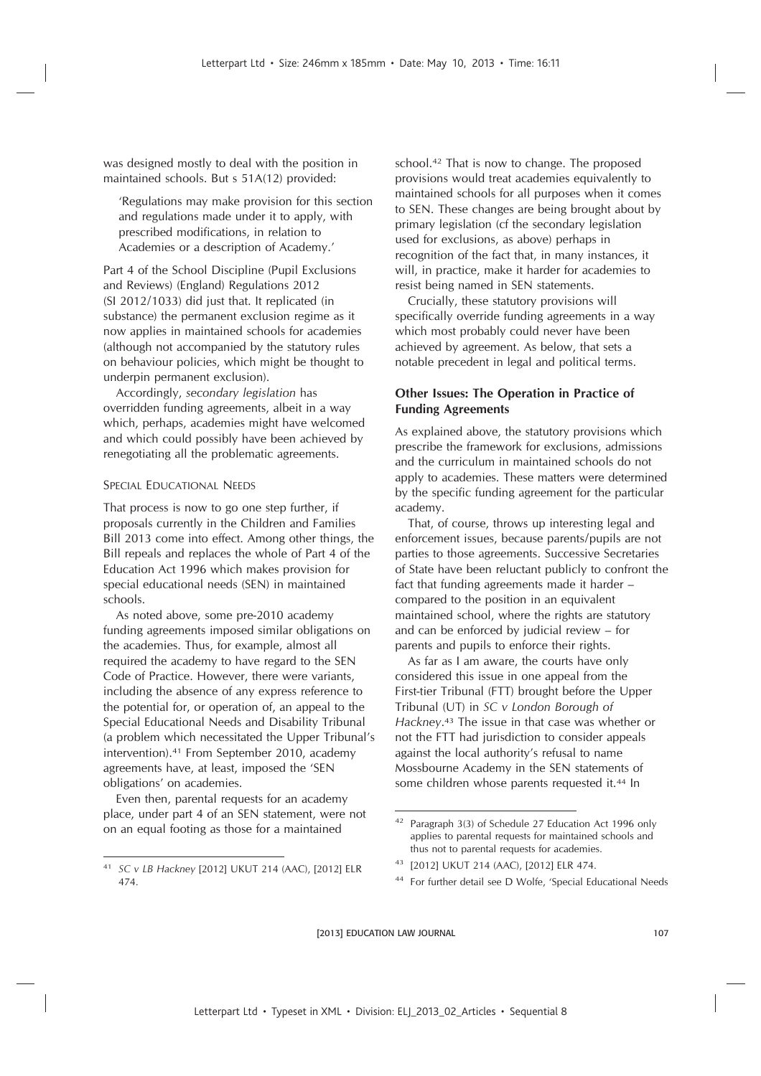was designed mostly to deal with the position in maintained schools. But s 51A(12) provided:

'Regulations may make provision for this section and regulations made under it to apply, with prescribed modifications, in relation to Academies or a description of Academy.'

Part 4 of the School Discipline (Pupil Exclusions and Reviews) (England) Regulations 2012 (SI 2012/1033) did just that. It replicated (in substance) the permanent exclusion regime as it now applies in maintained schools for academies (although not accompanied by the statutory rules on behaviour policies, which might be thought to underpin permanent exclusion).

Accordingly, *secondary legislation* has overridden funding agreements, albeit in a way which, perhaps, academies might have welcomed and which could possibly have been achieved by renegotiating all the problematic agreements.

# SPECIAL EDUCATIONAL NEEDS

That process is now to go one step further, if proposals currently in the Children and Families Bill 2013 come into effect. Among other things, the Bill repeals and replaces the whole of Part 4 of the Education Act 1996 which makes provision for special educational needs (SEN) in maintained schools.

As noted above, some pre-2010 academy funding agreements imposed similar obligations on the academies. Thus, for example, almost all required the academy to have regard to the SEN Code of Practice. However, there were variants, including the absence of any express reference to the potential for, or operation of, an appeal to the Special Educational Needs and Disability Tribunal (a problem which necessitated the Upper Tribunal's intervention).<sup>41</sup> From September 2010, academy agreements have, at least, imposed the 'SEN obligations' on academies.

Even then, parental requests for an academy place, under part 4 of an SEN statement, were not on an equal footing as those for a maintained

school.<sup>42</sup> That is now to change. The proposed provisions would treat academies equivalently to maintained schools for all purposes when it comes to SEN. These changes are being brought about by primary legislation (cf the secondary legislation used for exclusions, as above) perhaps in recognition of the fact that, in many instances, it will, in practice, make it harder for academies to resist being named in SEN statements.

Crucially, these statutory provisions will specifically override funding agreements in a way which most probably could never have been achieved by agreement. As below, that sets a notable precedent in legal and political terms.

# **Other Issues: The Operation in Practice of Funding Agreements**

As explained above, the statutory provisions which prescribe the framework for exclusions, admissions and the curriculum in maintained schools do not apply to academies. These matters were determined by the specific funding agreement for the particular academy.

That, of course, throws up interesting legal and enforcement issues, because parents/pupils are not parties to those agreements. Successive Secretaries of State have been reluctant publicly to confront the fact that funding agreements made it harder – compared to the position in an equivalent maintained school, where the rights are statutory and can be enforced by judicial review – for parents and pupils to enforce their rights.

As far as I am aware, the courts have only considered this issue in one appeal from the First-tier Tribunal (FTT) brought before the Upper Tribunal (UT) in *SC v London Borough of Hackney*. <sup>43</sup> The issue in that case was whether or not the FTT had jurisdiction to consider appeals against the local authority's refusal to name Mossbourne Academy in the SEN statements of some children whose parents requested it.<sup>44</sup> In

<sup>44</sup> For further detail see D Wolfe, 'Special Educational Needs

<sup>41</sup> *SC v LB Hackney* [2012] UKUT 214 (AAC), [2012] ELR 474.

<sup>42</sup> Paragraph 3(3) of Schedule 27 Education Act 1996 only applies to parental requests for maintained schools and thus not to parental requests for academies.

<sup>43</sup> [2012] UKUT 214 (AAC), [2012] ELR 474.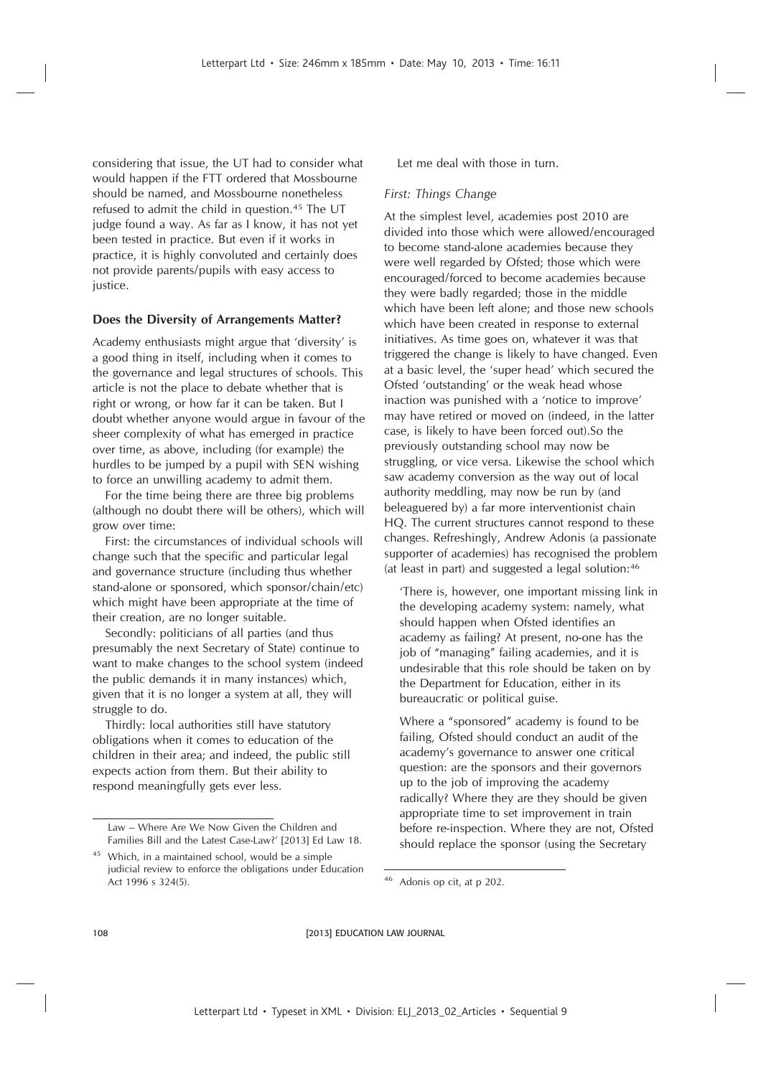considering that issue, the UT had to consider what would happen if the FTT ordered that Mossbourne should be named, and Mossbourne nonetheless refused to admit the child in question.<sup>45</sup> The UT judge found a way. As far as I know, it has not yet been tested in practice. But even if it works in practice, it is highly convoluted and certainly does not provide parents/pupils with easy access to justice.

# **Does the Diversity of Arrangements Matter?**

Academy enthusiasts might argue that 'diversity' is a good thing in itself, including when it comes to the governance and legal structures of schools. This article is not the place to debate whether that is right or wrong, or how far it can be taken. But I doubt whether anyone would argue in favour of the sheer complexity of what has emerged in practice over time, as above, including (for example) the hurdles to be jumped by a pupil with SEN wishing to force an unwilling academy to admit them.

For the time being there are three big problems (although no doubt there will be others), which will grow over time:

First: the circumstances of individual schools will change such that the specific and particular legal and governance structure (including thus whether stand-alone or sponsored, which sponsor/chain/etc) which might have been appropriate at the time of their creation, are no longer suitable.

Secondly: politicians of all parties (and thus presumably the next Secretary of State) continue to want to make changes to the school system (indeed the public demands it in many instances) which, given that it is no longer a system at all, they will struggle to do.

Thirdly: local authorities still have statutory obligations when it comes to education of the children in their area; and indeed, the public still expects action from them. But their ability to respond meaningfully gets ever less.

Let me deal with those in turn.

# *First: Things Change*

At the simplest level, academies post 2010 are divided into those which were allowed/encouraged to become stand-alone academies because they were well regarded by Ofsted; those which were encouraged/forced to become academies because they were badly regarded; those in the middle which have been left alone; and those new schools which have been created in response to external initiatives. As time goes on, whatever it was that triggered the change is likely to have changed. Even at a basic level, the 'super head' which secured the Ofsted 'outstanding' or the weak head whose inaction was punished with a 'notice to improve' may have retired or moved on (indeed, in the latter case, is likely to have been forced out).So the previously outstanding school may now be struggling, or vice versa. Likewise the school which saw academy conversion as the way out of local authority meddling, may now be run by (and beleaguered by) a far more interventionist chain HQ. The current structures cannot respond to these changes. Refreshingly, Andrew Adonis (a passionate supporter of academies) has recognised the problem (at least in part) and suggested a legal solution:<sup>46</sup>

'There is, however, one important missing link in the developing academy system: namely, what should happen when Ofsted identifies an academy as failing? At present, no-one has the job of "managing" failing academies, and it is undesirable that this role should be taken on by the Department for Education, either in its bureaucratic or political guise.

Where a "sponsored" academy is found to be failing, Ofsted should conduct an audit of the academy's governance to answer one critical question: are the sponsors and their governors up to the job of improving the academy radically? Where they are they should be given appropriate time to set improvement in train before re-inspection. Where they are not, Ofsted should replace the sponsor (using the Secretary

Law – Where Are We Now Given the Children and Families Bill and the Latest Case-Law?' [2013] Ed Law 18.

<sup>45</sup> Which, in a maintained school, would be a simple judicial review to enforce the obligations under Education Act 1996 s 324(5). <sup>46</sup> Adonis op cit, at p 202.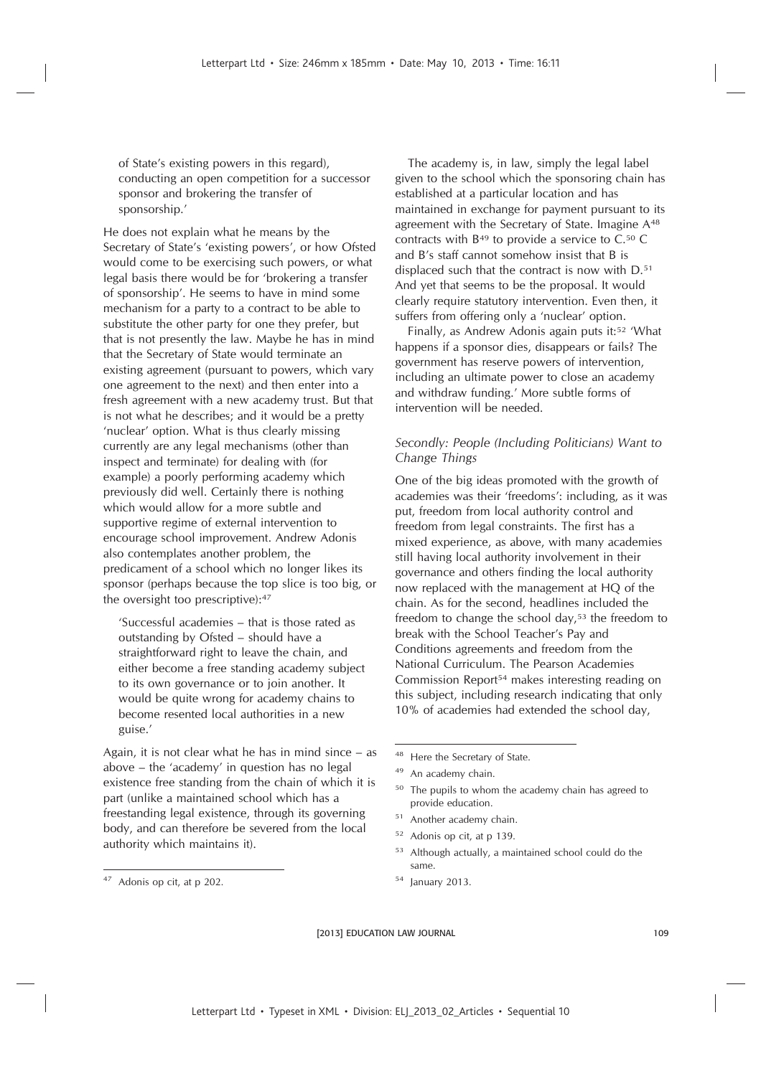of State's existing powers in this regard), conducting an open competition for a successor sponsor and brokering the transfer of sponsorship.'

He does not explain what he means by the Secretary of State's 'existing powers', or how Ofsted would come to be exercising such powers, or what legal basis there would be for 'brokering a transfer of sponsorship'. He seems to have in mind some mechanism for a party to a contract to be able to substitute the other party for one they prefer, but that is not presently the law. Maybe he has in mind that the Secretary of State would terminate an existing agreement (pursuant to powers, which vary one agreement to the next) and then enter into a fresh agreement with a new academy trust. But that is not what he describes; and it would be a pretty 'nuclear' option. What is thus clearly missing currently are any legal mechanisms (other than inspect and terminate) for dealing with (for example) a poorly performing academy which previously did well. Certainly there is nothing which would allow for a more subtle and supportive regime of external intervention to encourage school improvement. Andrew Adonis also contemplates another problem, the predicament of a school which no longer likes its sponsor (perhaps because the top slice is too big, or the oversight too prescriptive):<sup>47</sup>

'Successful academies – that is those rated as outstanding by Ofsted – should have a straightforward right to leave the chain, and either become a free standing academy subject to its own governance or to join another. It would be quite wrong for academy chains to become resented local authorities in a new guise.'

Again, it is not clear what he has in mind since – as above – the 'academy' in question has no legal existence free standing from the chain of which it is part (unlike a maintained school which has a freestanding legal existence, through its governing body, and can therefore be severed from the local authority which maintains it).

The academy is, in law, simply the legal label given to the school which the sponsoring chain has established at a particular location and has maintained in exchange for payment pursuant to its agreement with the Secretary of State. Imagine A<sup>48</sup> contracts with B<sup>49</sup> to provide a service to C.<sup>50</sup> C and B's staff cannot somehow insist that B is displaced such that the contract is now with D.<sup>51</sup> And yet that seems to be the proposal. It would clearly require statutory intervention. Even then, it suffers from offering only a 'nuclear' option.

Finally, as Andrew Adonis again puts it:<sup>52</sup> 'What happens if a sponsor dies, disappears or fails? The government has reserve powers of intervention, including an ultimate power to close an academy and withdraw funding.' More subtle forms of intervention will be needed.

# *Secondly: People (Including Politicians) Want to Change Things*

One of the big ideas promoted with the growth of academies was their 'freedoms': including, as it was put, freedom from local authority control and freedom from legal constraints. The first has a mixed experience, as above, with many academies still having local authority involvement in their governance and others finding the local authority now replaced with the management at HQ of the chain. As for the second, headlines included the freedom to change the school day,<sup>53</sup> the freedom to break with the School Teacher's Pay and Conditions agreements and freedom from the National Curriculum. The Pearson Academies Commission Report<sup>54</sup> makes interesting reading on this subject, including research indicating that only 10% of academies had extended the school day,

- <sup>50</sup> The pupils to whom the academy chain has agreed to provide education.
- <sup>51</sup> Another academy chain.
- <sup>52</sup> Adonis op cit, at p 139.
- <sup>53</sup> Although actually, a maintained school could do the same.
- <sup>54</sup> January 2013.

<sup>47</sup> Adonis op cit, at p 202.

<sup>48</sup> Here the Secretary of State.

<sup>49</sup> An academy chain.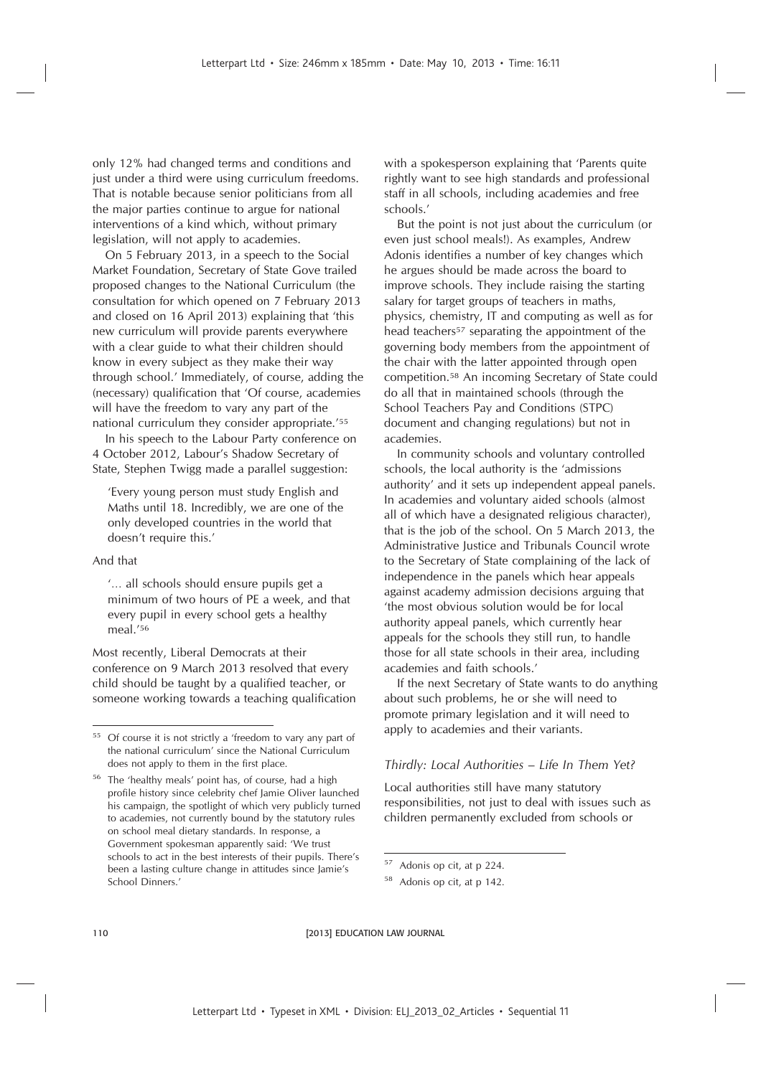only 12% had changed terms and conditions and just under a third were using curriculum freedoms. That is notable because senior politicians from all the major parties continue to argue for national interventions of a kind which, without primary legislation, will not apply to academies.

On 5 February 2013, in a speech to the Social Market Foundation, Secretary of State Gove trailed proposed changes to the National Curriculum (the consultation for which opened on 7 February 2013 and closed on 16 April 2013) explaining that 'this new curriculum will provide parents everywhere with a clear guide to what their children should know in every subject as they make their way through school.' Immediately, of course, adding the (necessary) qualification that 'Of course, academies will have the freedom to vary any part of the national curriculum they consider appropriate.'<sup>55</sup>

In his speech to the Labour Party conference on 4 October 2012, Labour's Shadow Secretary of State, Stephen Twigg made a parallel suggestion:

'Every young person must study English and Maths until 18. Incredibly, we are one of the only developed countries in the world that doesn't require this.'

#### And that

'… all schools should ensure pupils get a minimum of two hours of PE a week, and that every pupil in every school gets a healthy meal.'<sup>56</sup>

Most recently, Liberal Democrats at their conference on 9 March 2013 resolved that every child should be taught by a qualified teacher, or someone working towards a teaching qualification with a spokesperson explaining that 'Parents quite rightly want to see high standards and professional staff in all schools, including academies and free schools.'

But the point is not just about the curriculum (or even just school meals!). As examples, Andrew Adonis identifies a number of key changes which he argues should be made across the board to improve schools. They include raising the starting salary for target groups of teachers in maths, physics, chemistry, IT and computing as well as for head teachers<sup>57</sup> separating the appointment of the governing body members from the appointment of the chair with the latter appointed through open competition.<sup>58</sup> An incoming Secretary of State could do all that in maintained schools (through the School Teachers Pay and Conditions (STPC) document and changing regulations) but not in academies.

In community schools and voluntary controlled schools, the local authority is the 'admissions authority' and it sets up independent appeal panels. In academies and voluntary aided schools (almost all of which have a designated religious character), that is the job of the school. On 5 March 2013, the Administrative Justice and Tribunals Council wrote to the Secretary of State complaining of the lack of independence in the panels which hear appeals against academy admission decisions arguing that 'the most obvious solution would be for local authority appeal panels, which currently hear appeals for the schools they still run, to handle those for all state schools in their area, including academies and faith schools.'

If the next Secretary of State wants to do anything about such problems, he or she will need to promote primary legislation and it will need to apply to academies and their variants.

# *Thirdly: Local Authorities – Life In Them Yet?*

Local authorities still have many statutory responsibilities, not just to deal with issues such as children permanently excluded from schools or

<sup>&</sup>lt;sup>55</sup> Of course it is not strictly a 'freedom to vary any part of the national curriculum' since the National Curriculum does not apply to them in the first place.

<sup>56</sup> The 'healthy meals' point has, of course, had a high profile history since celebrity chef Jamie Oliver launched his campaign, the spotlight of which very publicly turned to academies, not currently bound by the statutory rules on school meal dietary standards. In response, a Government spokesman apparently said: 'We trust schools to act in the best interests of their pupils. There's been a lasting culture change in attitudes since Jamie's School Dinners.'

<sup>57</sup> Adonis op cit, at p 224.

<sup>58</sup> Adonis op cit, at p 142.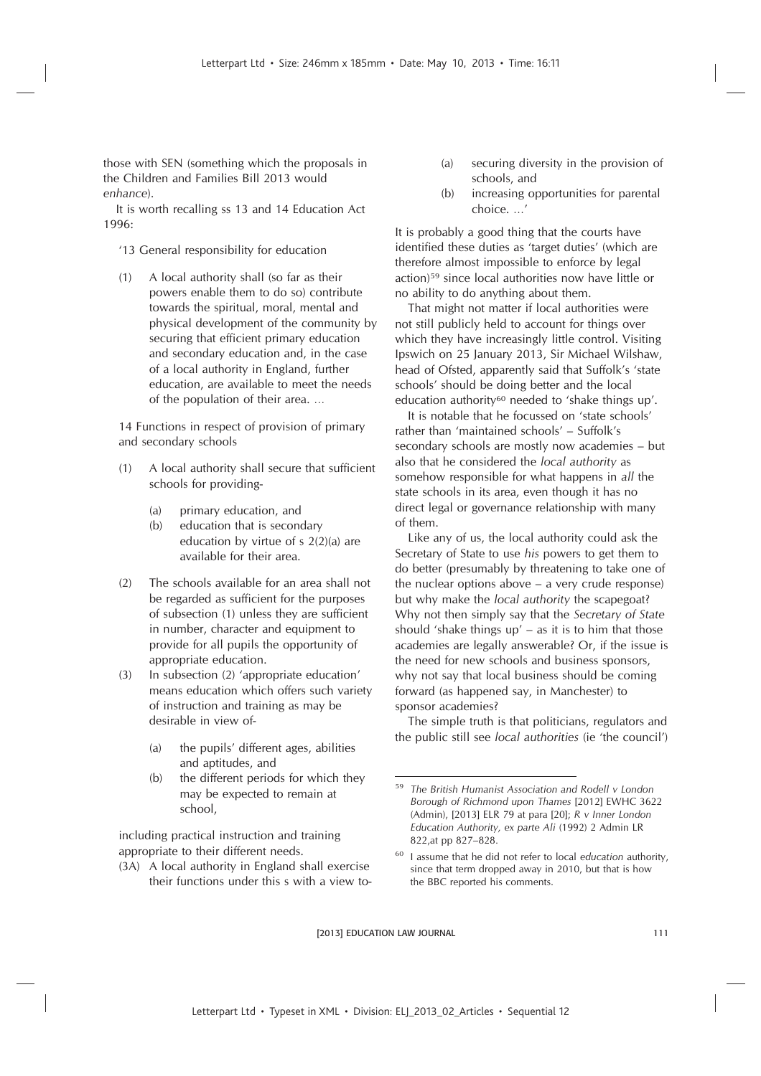those with SEN (something which the proposals in the Children and Families Bill 2013 would *enhance*).

It is worth recalling ss 13 and 14 Education Act 1996:

# '13 General responsibility for education

(1) A local authority shall (so far as their powers enable them to do so) contribute towards the spiritual, moral, mental and physical development of the community by securing that efficient primary education and secondary education and, in the case of a local authority in England, further education, are available to meet the needs of the population of their area. …

14 Functions in respect of provision of primary and secondary schools

- (1) A local authority shall secure that sufficient schools for providing-
	- (a) primary education, and
	- (b) education that is secondary education by virtue of s 2(2)(a) are available for their area.
- (2) The schools available for an area shall not be regarded as sufficient for the purposes of subsection (1) unless they are sufficient in number, character and equipment to provide for all pupils the opportunity of appropriate education.
- (3) In subsection (2) 'appropriate education' means education which offers such variety of instruction and training as may be desirable in view of-
	- (a) the pupils' different ages, abilities and aptitudes, and
	- (b) the different periods for which they may be expected to remain at school,

including practical instruction and training appropriate to their different needs.

(3A) A local authority in England shall exercise their functions under this s with a view to-

- (a) securing diversity in the provision of schools, and
- (b) increasing opportunities for parental choice. …'

It is probably a good thing that the courts have identified these duties as 'target duties' (which are therefore almost impossible to enforce by legal action)<sup>59</sup> since local authorities now have little or no ability to do anything about them.

That might not matter if local authorities were not still publicly held to account for things over which they have increasingly little control. Visiting Ipswich on 25 January 2013, Sir Michael Wilshaw, head of Ofsted, apparently said that Suffolk's 'state schools' should be doing better and the local education authority<sup>60</sup> needed to 'shake things up'.

It is notable that he focussed on 'state schools' rather than 'maintained schools' – Suffolk's secondary schools are mostly now academies – but also that he considered the *local authority* as somehow responsible for what happens in *all* the state schools in its area, even though it has no direct legal or governance relationship with many of them.

Like any of us, the local authority could ask the Secretary of State to use *his* powers to get them to do better (presumably by threatening to take one of the nuclear options above – a very crude response) but why make the *local authority* the scapegoat? Why not then simply say that the *Secretary of State* should 'shake things up' – as it is to him that those academies are legally answerable? Or, if the issue is the need for new schools and business sponsors, why not say that local business should be coming forward (as happened say, in Manchester) to sponsor academies?

The simple truth is that politicians, regulators and the public still see *local authorities* (ie 'the council')

<sup>59</sup> *The British Humanist Association and Rodell v London Borough of Richmond upon Thames* [2012] EWHC 3622 (Admin), [2013] ELR 79 at para [20]; *R v Inner London Education Authority, ex parte Ali* (1992) 2 Admin LR 822,at pp 827–828.

<sup>60</sup> I assume that he did not refer to local *education* authority, since that term dropped away in 2010, but that is how the BBC reported his comments.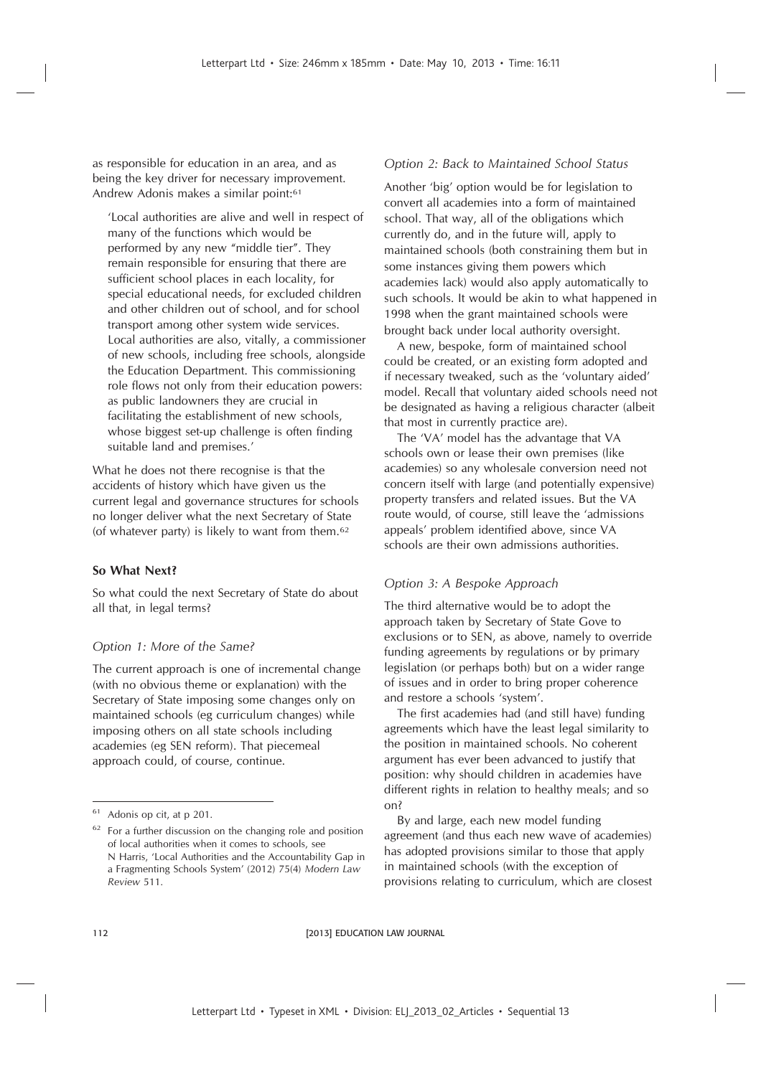as responsible for education in an area, and as being the key driver for necessary improvement. Andrew Adonis makes a similar point:<sup>61</sup>

'Local authorities are alive and well in respect of many of the functions which would be performed by any new "middle tier". They remain responsible for ensuring that there are sufficient school places in each locality, for special educational needs, for excluded children and other children out of school, and for school transport among other system wide services. Local authorities are also, vitally, a commissioner of new schools, including free schools, alongside the Education Department. This commissioning role flows not only from their education powers: as public landowners they are crucial in facilitating the establishment of new schools, whose biggest set-up challenge is often finding suitable land and premises.'

What he does not there recognise is that the accidents of history which have given us the current legal and governance structures for schools no longer deliver what the next Secretary of State (of whatever party) is likely to want from them.<sup>62</sup>

# **So What Next?**

So what could the next Secretary of State do about all that, in legal terms?

#### *Option 1: More of the Same?*

The current approach is one of incremental change (with no obvious theme or explanation) with the Secretary of State imposing some changes only on maintained schools (eg curriculum changes) while imposing others on all state schools including academies (eg SEN reform). That piecemeal approach could, of course, continue.

# *Option 2: Back to Maintained School Status*

Another 'big' option would be for legislation to convert all academies into a form of maintained school. That way, all of the obligations which currently do, and in the future will, apply to maintained schools (both constraining them but in some instances giving them powers which academies lack) would also apply automatically to such schools. It would be akin to what happened in 1998 when the grant maintained schools were brought back under local authority oversight.

A new, bespoke, form of maintained school could be created, or an existing form adopted and if necessary tweaked, such as the 'voluntary aided' model. Recall that voluntary aided schools need not be designated as having a religious character (albeit that most in currently practice are).

The 'VA' model has the advantage that VA schools own or lease their own premises (like academies) so any wholesale conversion need not concern itself with large (and potentially expensive) property transfers and related issues. But the VA route would, of course, still leave the 'admissions appeals' problem identified above, since VA schools are their own admissions authorities.

# *Option 3: A Bespoke Approach*

The third alternative would be to adopt the approach taken by Secretary of State Gove to exclusions or to SEN, as above, namely to override funding agreements by regulations or by primary legislation (or perhaps both) but on a wider range of issues and in order to bring proper coherence and restore a schools 'system'.

The first academies had (and still have) funding agreements which have the least legal similarity to the position in maintained schools. No coherent argument has ever been advanced to justify that position: why should children in academies have different rights in relation to healthy meals; and so on?

By and large, each new model funding agreement (and thus each new wave of academies) has adopted provisions similar to those that apply in maintained schools (with the exception of provisions relating to curriculum, which are closest

<sup>61</sup> Adonis op cit, at p 201.

<sup>62</sup> For a further discussion on the changing role and position of local authorities when it comes to schools, see N Harris, 'Local Authorities and the Accountability Gap in a Fragmenting Schools System' (2012) 75(4) *Modern Law Review* 511.